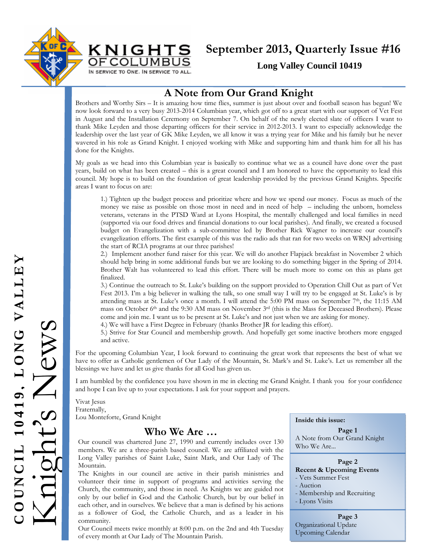



# **September 2013, Quarterly Issue #16**

**Long Valley Council 10419** 

### **A Note from Our Grand Knight**

Brothers and Worthy Sirs – It is amazing how time flies, summer is just about over and football season has begun! We now look forward to a very busy 2013-2014 Columbian year, which got off to a great start with our support of Vet Fest in August and the Installation Ceremony on September 7. On behalf of the newly elected slate of officers I want to thank Mike Leyden and those departing officers for their service in 2012-2013. I want to especially acknowledge the leadership over the last year of GK Mike Leyden, we all know it was a trying year for Mike and his family but he never wavered in his role as Grand Knight. I enjoyed working with Mike and supporting him and thank him for all his has done for the Knights.

My goals as we head into this Columbian year is basically to continue what we as a council have done over the past years, build on what has been created – this is a great council and I am honored to have the opportunity to lead this council. My hope is to build on the foundation of great leadership provided by the previous Grand Knights. Specific areas I want to focus on are:

1.) Tighten up the budget process and prioritize where and how we spend our money. Focus as much of the money we raise as possible on those most in need and in need of help – including the unborn, homeless veterans, veterans in the PTSD Ward at Lyons Hospital, the mentally challenged and local families in need (supported via our food drives and financial donations to our local parishes). And finally, we created a focused budget on Evangelization with a sub-committee led by Brother Rick Wagner to increase our council's evangelization efforts. The first example of this was the radio ads that ran for two weeks on WRNJ advertising the start of RCIA programs at our three parishes!

2.) Implement another fund raiser for this year. We will do another Flapjack breakfast in November 2 which should help bring in some additional funds but we are looking to do something bigger in the Spring of 2014. Brother Walt has volunteered to lead this effort. There will be much more to come on this as plans get finalized.

3.) Continue the outreach to St. Luke's building on the support provided to Operation Chill Out as part of Vet Fest 2013. I'm a big believer in walking the talk, so one small way I will try to be engaged at St. Luke's is by attending mass at St. Luke's once a month. I will attend the 5:00 PM mass on September 7<sup>th</sup>, the 11:15 AM mass on October 6th and the 9:30 AM mass on November 3rd (this is the Mass for Deceased Brothers). Please come and join me. I want us to be present at St. Luke's and not just when we are asking for money.

4.) We will have a First Degree in February (thanks Brother JR for leading this effort).

5.) Strive for Star Council and membership growth. And hopefully get some inactive brothers more engaged and active.

For the upcoming Columbian Year, I look forward to continuing the great work that represents the best of what we have to offer as Catholic gentlemen of Our Lady of the Mountain, St. Mark's and St. Luke's. Let us remember all the blessings we have and let us give thanks for all God has given us.

I am humbled by the confidence you have shown in me in electing me Grand Knight. I thank you for your confidence and hope I can live up to your expectations. I ask for your support and prayers.

Vivat Jesus Fraternally, Lou Monteforte, Grand Knight

#### **Who We Are …**

Our council was chartered June 27, 1990 and currently includes over 130 members. We are a three-parish based council. We are affiliated with the Long Valley parishes of Saint Luke, Saint Mark, and Our Lady of The Mountain.

The Knights in our council are active in their parish ministries and volunteer their time in support of programs and activities serving the Church, the community, and those in need. As Knights we are guided not only by our belief in God and the Catholic Church, but by our belief in each other, and in ourselves. We believe that a man is defined by his actions as a follower of God, the Catholic Church, and as a leader in his community.

Our Council meets twice monthly at 8:00 p.m. on the 2nd and 4th Tuesday of every month at Our Lady of The Mountain Parish.

**Inside this issue:**

**Page 1**  A Note from Our Grand Knight Who We Are...

#### **Page 2 Recent & Upcoming Events**

- Vets Summer Fest

- Auction
- Membership and Recruiting
- Lyons Visits

**Page 3**  Organizational Update Upcoming Calendar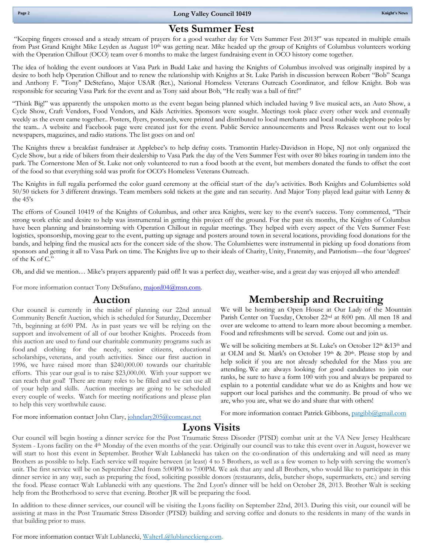"Keeping fingers crossed and a steady stream of prayers for a good weather day for Vets Summer Fest 2013!" was repeated in multiple emails from Past Grand Knight Mike Leyden as August 10<sup>th</sup> was getting near. Mike headed up the group of Knights of Columbus volunteers working with the Operation Chillout (OCO) team over 6 months to make the largest fundraising event in OCO history come together.

The idea of holding the event outdoors at Vasa Park in Budd Lake and having the Knights of Columbus involved was originally inspired by a desire to both help Operation Chillout and to renew the relationship with Knights at St. Luke Parish in discussion between Robert "Bob" Scanga and Anthony F. "Tony" DeStefano, Major USAR (Ret.), National Homeless Veterans Outreach Coordinator, and fellow Knight. Bob was responsible for securing Vasa Park for the event and as Tony said about Bob, "He really was a ball of fire!"

"Think Big!" was apparently the unspoken motto as the event began being planned which included having 9 live musical acts, an Auto Show, a Cycle Show, Craft Vendors, Food Vendors, and Kids Activities. Sponsors were sought. Meetings took place every other week and eventually weekly as the event came together.. Posters, flyers, postcards, were printed and distributed to local merchants and local roadside telephone poles by the team.. A website and Facebook page were created just for the event. Public Service announcements and Press Releases went out to local newspapers, magazines, and radio stations. The list goes on and on!

The Knights threw a breakfast fundraiser at Applebee's to help defray costs. Tramontin Harley-Davidson in Hope, NJ not only organized the Cycle Show, but a ride of bikers from their dealership to Vasa Park the day of the Vets Summer Fest with over 80 bikes roaring in tandem into the park. The Cornerstone Men of St. Luke not only volunteered to run a food booth at the event, but members donated the funds to offset the cost of the food so that everything sold was profit for OCO's Homeless Veterans Outreach.

The Knights in full regalia performed the color guard ceremony at the official start of the day's activities. Both Knights and Columbiettes sold 50/50 tickets for 3 different drawings. Team members sold tickets at the gate and ran security. And Major Tony played lead guitar with Lenny & the 45's

The efforts of Council 10419 of the Knights of Columbus, and other area Knights, were key to the event's success. Tony commented, "Their strong work ethic and desire to help was instrumental in getting this project off the ground. For the past six months, the Knights of Columbus have been planning and brainstorming with Operation Chillout in regular meetings. They helped with every aspect of the Vets Summer Fest: logistics, sponsorship, moving gear to the event, putting up signage and posters around town in several locations, providing food donations for the bands, and helping find the musical acts for the concert side of the show. The Columbiettes were instrumental in picking up food donations from sponsors and getting it all to Vasa Park on time. The Knights live up to their ideals of Charity, Unity, Fraternity, and Patriotism—the four 'degrees' of the K of C."

Oh, and did we mention… Mike's prayers apparently paid off! It was a perfect day, weather-wise, and a great day was enjoyed all who attended!

For more information contact Tony DeStafano, majord04@msn.com.

#### **Auction**

Our council is currently in the midst of planning our 22nd annual Community Benefit Auction, which is scheduled for Saturday, December 7th, beginning at 6:00 PM. As in past years we will be relying on the support and involvement of all of our brother Knights. Proceeds from this auction are used to fund our charitable community programs such as food and clothing for the needy, senior citizens, educational scholarships, veterans, and youth activities. Since our first auction in 1996, we have raised more than \$240,000.00 towards our charitable efforts. This year our goal is to raise \$23,000.00. With your support we can reach that goal! There are many roles to be filled and we can use all of your help and skills. Auction meetings are going to be scheduled every couple of weeks. Watch for meeting notifications and please plan to help this very worthwhile cause.

For more information contact John Clary, johnclary205@comcast.net

## **Membership and Recruiting**

We will be hosting an Open House at Our Lady of the Mountain Parish Center on Tuesday, October 22nd at 8:00 pm. All men 18 and over are welcome to attend to learn more about becoming a member. Food and refreshments will be served. Come out and join us.

We will be soliciting members at St. Luke's on October 12<sup>th</sup> &13<sup>th</sup> and at OLM and St. Mark's on October 19th & 20th. Please stop by and help solicit if you are not already scheduled for the Mass you are attending. We are always looking for good candidates to join our ranks, be sure to have a form 100 with you and always be prepared to explain to a potential candidate what we do as Knights and how we support our local parishes and the community. Be proud of who we are, who you are, what we do and share that with others!

For more information contact Patrick Gibbons, patgibb@gmail.com

# **Lyons Visits**

Our council will begin hosting a dinner service for the Post Traumatic Stress Disorder (PTSD) combat unit at the VA New Jersey Healthcare System - Lyons facility on the 4<sup>th</sup> Monday of the even months of the year. Originally our council was to take this event over in August, however we will start to host this event in September. Brother Walt Lublanecki has taken on the co-ordination of this undertaking and will need as many Brothers as possible to help. Each service will require between (at least) 4 to 5 Brothers, as well as a few women to help with serving the women's unit. The first service will be on September 23rd from 5:00PM to 7:00PM. We ask that any and all Brothers, who would like to participate in this dinner service in any way, such as preparing the food, soliciting possible donors (restaurants, delis, butcher shops, supermarkets, etc.) and serving the food. Please contact Walt Lublanecki with any questions. The 2nd Lyon's dinner will be held on October 28, 2013. Brother Walt is seeking help from the Brotherhood to serve that evening. Brother JR will be preparing the food.

In addition to these dinner services, our council will be visiting the Lyons facility on September 22nd, 2013. During this visit, our council will be assisting at mass in the Post Traumatic Stress Disorder (PTSD) building and serving coffee and donuts to the residents in many of the wards in that building prior to mass.

For more information contact Walt Lublanecki, WalterL@lublaneckieng.com.